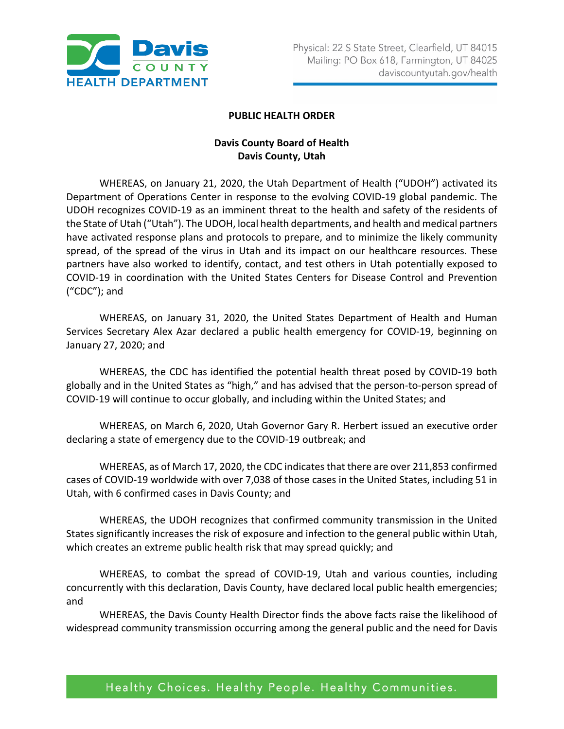

## **PUBLIC HEALTH ORDER**

## **Davis County Board of Health Davis County, Utah**

WHEREAS, on January 21, 2020, the Utah Department of Health ("UDOH") activated its Department of Operations Center in response to the evolving COVID-19 global pandemic. The UDOH recognizes COVID-19 as an imminent threat to the health and safety of the residents of the State of Utah ("Utah"). The UDOH, local health departments, and health and medical partners have activated response plans and protocols to prepare, and to minimize the likely community spread, of the spread of the virus in Utah and its impact on our healthcare resources. These partners have also worked to identify, contact, and test others in Utah potentially exposed to COVID-19 in coordination with the United States Centers for Disease Control and Prevention ("CDC"); and

WHEREAS, on January 31, 2020, the United States Department of Health and Human Services Secretary Alex Azar declared a public health emergency for COVID-19, beginning on January 27, 2020; and

WHEREAS, the CDC has identified the potential health threat posed by COVID-19 both globally and in the United States as "high," and has advised that the person-to-person spread of COVID-19 will continue to occur globally, and including within the United States; and

WHEREAS, on March 6, 2020, Utah Governor Gary R. Herbert issued an executive order declaring a state of emergency due to the COVID-19 outbreak; and

WHEREAS, as of March 17, 2020, the CDC indicates that there are over 211,853 confirmed cases of COVID-19 worldwide with over 7,038 of those cases in the United States, including 51 in Utah, with 6 confirmed cases in Davis County; and

WHEREAS, the UDOH recognizes that confirmed community transmission in the United States significantly increases the risk of exposure and infection to the general public within Utah, which creates an extreme public health risk that may spread quickly; and

WHEREAS, to combat the spread of COVID-19, Utah and various counties, including concurrently with this declaration, Davis County, have declared local public health emergencies; and

WHEREAS, the Davis County Health Director finds the above facts raise the likelihood of widespread community transmission occurring among the general public and the need for Davis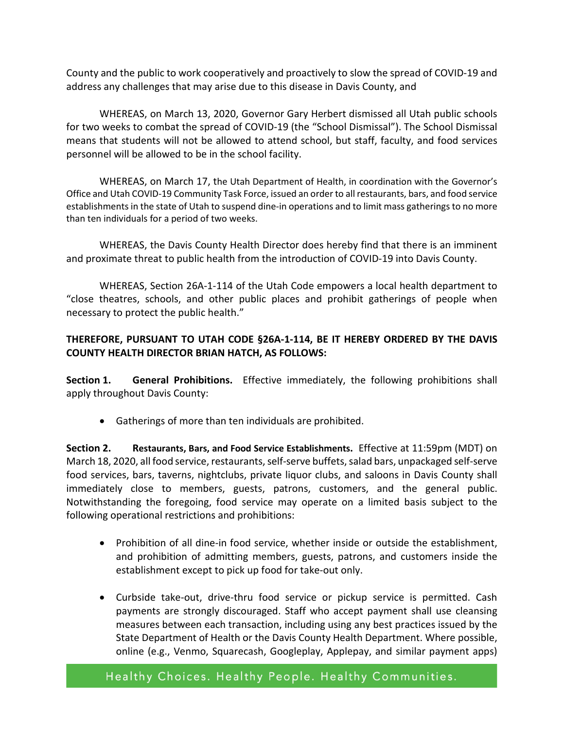County and the public to work cooperatively and proactively to slow the spread of COVID-19 and address any challenges that may arise due to this disease in Davis County, and

WHEREAS, on March 13, 2020, Governor Gary Herbert dismissed all Utah public schools for two weeks to combat the spread of COVID-19 (the "School Dismissal"). The School Dismissal means that students will not be allowed to attend school, but staff, faculty, and food services personnel will be allowed to be in the school facility.

WHEREAS, on March 17, the Utah Department of Health, in coordination with the Governor's Office and Utah COVID-19 Community Task Force, issued an order to all restaurants, bars, and food service establishments in the state of Utah to suspend dine-in operations and to limit mass gatherings to no more than ten individuals for a period of two weeks.

WHEREAS, the Davis County Health Director does hereby find that there is an imminent and proximate threat to public health from the introduction of COVID-19 into Davis County.

WHEREAS, Section 26A-1-114 of the Utah Code empowers a local health department to "close theatres, schools, and other public places and prohibit gatherings of people when necessary to protect the public health."

## **THEREFORE, PURSUANT TO UTAH CODE §26A-1-114, BE IT HEREBY ORDERED BY THE DAVIS COUNTY HEALTH DIRECTOR BRIAN HATCH, AS FOLLOWS:**

**Section 1. General Prohibitions.** Effective immediately, the following prohibitions shall apply throughout Davis County:

• Gatherings of more than ten individuals are prohibited.

**Section 2. Restaurants, Bars, and Food Service Establishments.** Effective at 11:59pm (MDT) on March 18, 2020, all food service, restaurants, self-serve buffets, salad bars, unpackaged self-serve food services, bars, taverns, nightclubs, private liquor clubs, and saloons in Davis County shall immediately close to members, guests, patrons, customers, and the general public. Notwithstanding the foregoing, food service may operate on a limited basis subject to the following operational restrictions and prohibitions:

- Prohibition of all dine-in food service, whether inside or outside the establishment, and prohibition of admitting members, guests, patrons, and customers inside the establishment except to pick up food for take-out only.
- Curbside take-out, drive-thru food service or pickup service is permitted. Cash payments are strongly discouraged. Staff who accept payment shall use cleansing measures between each transaction, including using any best practices issued by the State Department of Health or the Davis County Health Department. Where possible, online (e.g., Venmo, Squarecash, Googleplay, Applepay, and similar payment apps)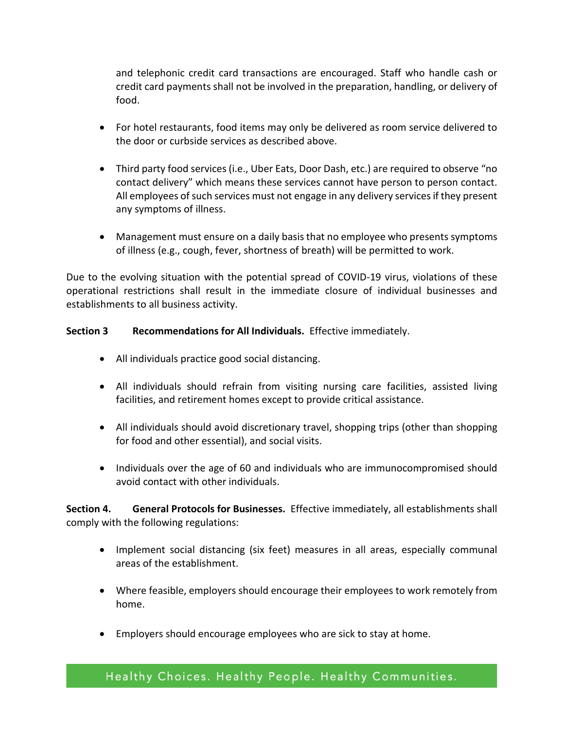and telephonic credit card transactions are encouraged. Staff who handle cash or credit card payments shall not be involved in the preparation, handling, or delivery of food.

- For hotel restaurants, food items may only be delivered as room service delivered to the door or curbside services as described above.
- Third party food services (i.e., Uber Eats, Door Dash, etc.) are required to observe "no contact delivery" which means these services cannot have person to person contact. All employees of such services must not engage in any delivery services if they present any symptoms of illness.
- Management must ensure on a daily basis that no employee who presents symptoms of illness (e.g., cough, fever, shortness of breath) will be permitted to work.

Due to the evolving situation with the potential spread of COVID-19 virus, violations of these operational restrictions shall result in the immediate closure of individual businesses and establishments to all business activity.

## **Section 3 Recommendations for All Individuals.** Effective immediately.

- All individuals practice good social distancing.
- All individuals should refrain from visiting nursing care facilities, assisted living facilities, and retirement homes except to provide critical assistance.
- All individuals should avoid discretionary travel, shopping trips (other than shopping for food and other essential), and social visits.
- Individuals over the age of 60 and individuals who are immunocompromised should avoid contact with other individuals.

**Section 4. General Protocols for Businesses.** Effective immediately, all establishments shall comply with the following regulations:

- Implement social distancing (six feet) measures in all areas, especially communal areas of the establishment.
- Where feasible, employers should encourage their employees to work remotely from home.
- Employers should encourage employees who are sick to stay at home.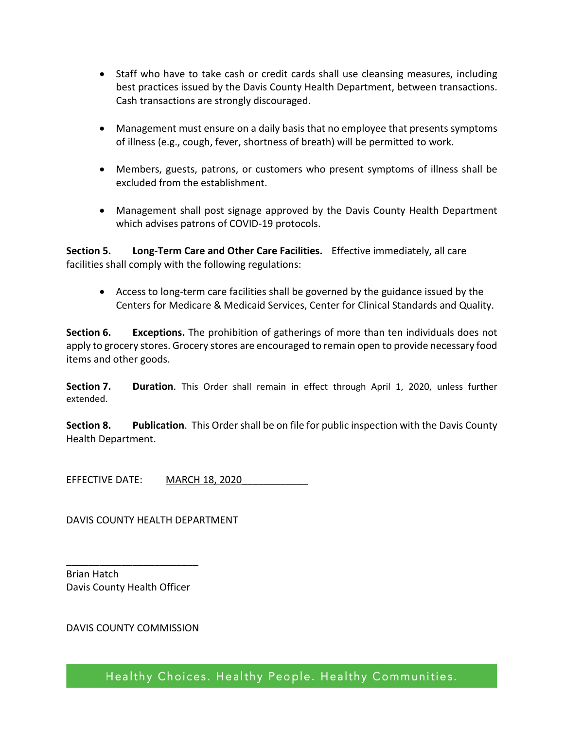- Staff who have to take cash or credit cards shall use cleansing measures, including best practices issued by the Davis County Health Department, between transactions. Cash transactions are strongly discouraged.
- Management must ensure on a daily basis that no employee that presents symptoms of illness (e.g., cough, fever, shortness of breath) will be permitted to work.
- Members, guests, patrons, or customers who present symptoms of illness shall be excluded from the establishment.
- Management shall post signage approved by the Davis County Health Department which advises patrons of COVID-19 protocols.

**Section 5. Long-Term Care and Other Care Facilities.** Effective immediately, all care facilities shall comply with the following regulations:

• Access to long-term care facilities shall be governed by the guidance issued by the Centers for Medicare & Medicaid Services, Center for Clinical Standards and Quality.

**Section 6. Exceptions.** The prohibition of gatherings of more than ten individuals does not apply to grocery stores. Grocery stores are encouraged to remain open to provide necessary food items and other goods.

**Section 7. Duration**. This Order shall remain in effect through April 1, 2020, unless further extended.

**Section 8. Publication**. This Order shall be on file for public inspection with the Davis County Health Department.

EFFECTIVE DATE: MARCH 18, 2020

DAVIS COUNTY HEALTH DEPARTMENT

Brian Hatch Davis County Health Officer

\_\_\_\_\_\_\_\_\_\_\_\_\_\_\_\_\_\_\_\_\_\_\_\_

DAVIS COUNTY COMMISSION

Healthy Choices. Healthy People. Healthy Communities.